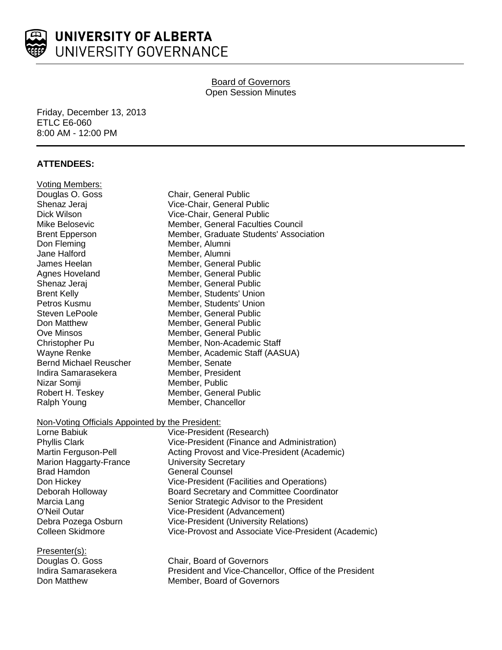

## **Board of Governors** Open Session Minutes

Friday, December 13, 2013 ETLC E6-060 8:00 AM - 12:00 PM

# **ATTENDEES:**

| <b>Voting Members:</b>                           |                                                        |
|--------------------------------------------------|--------------------------------------------------------|
| Douglas O. Goss                                  | Chair, General Public                                  |
| Shenaz Jeraj                                     | Vice-Chair, General Public                             |
| Dick Wilson                                      | Vice-Chair, General Public                             |
| Mike Belosevic                                   | Member, General Faculties Council                      |
| <b>Brent Epperson</b>                            | Member, Graduate Students' Association                 |
| Don Fleming                                      | Member, Alumni                                         |
| Jane Halford                                     | Member, Alumni                                         |
| James Heelan                                     | Member, General Public                                 |
| Agnes Hoveland                                   | Member, General Public                                 |
| Shenaz Jeraj                                     | Member, General Public                                 |
| <b>Brent Kelly</b>                               | Member, Students' Union                                |
| Petros Kusmu                                     | Member, Students' Union                                |
| Steven LePoole                                   | Member, General Public                                 |
| Don Matthew                                      | Member, General Public                                 |
| <b>Ove Minsos</b>                                | Member, General Public                                 |
| Christopher Pu                                   | Member, Non-Academic Staff                             |
| Wayne Renke                                      | Member, Academic Staff (AASUA)                         |
| <b>Bernd Michael Reuscher</b>                    | Member, Senate                                         |
| Indira Samarasekera                              | Member, President                                      |
| Nizar Somji                                      | Member, Public                                         |
| Robert H. Teskey                                 | Member, General Public                                 |
| Ralph Young                                      | Member, Chancellor                                     |
| Non-Voting Officials Appointed by the President: |                                                        |
| Lorne Babiuk                                     | Vice-President (Research)                              |
| <b>Phyllis Clark</b>                             | Vice-President (Finance and Administration)            |
| Martin Ferguson-Pell                             | Acting Provost and Vice-President (Academic)           |
| Marion Haggarty-France                           | <b>University Secretary</b>                            |
| <b>Brad Hamdon</b>                               | <b>General Counsel</b>                                 |
| Don Hickey                                       | Vice-President (Facilities and Operations)             |
| Deborah Holloway                                 | Board Secretary and Committee Coordinator              |
| Marcia Lang                                      | Senior Strategic Advisor to the President              |
| O'Neil Outar                                     | Vice-President (Advancement)                           |
| Debra Pozega Osburn                              | <b>Vice-President (University Relations)</b>           |
| <b>Colleen Skidmore</b>                          | Vice-Provost and Associate Vice-President (Academic)   |
| Presenter(s):                                    |                                                        |
| Douglas O. Goss                                  | Chair, Board of Governors                              |
| Indira Samarasekera                              | President and Vice-Chancellor, Office of the President |
| Don Matthew                                      | Member, Board of Governors                             |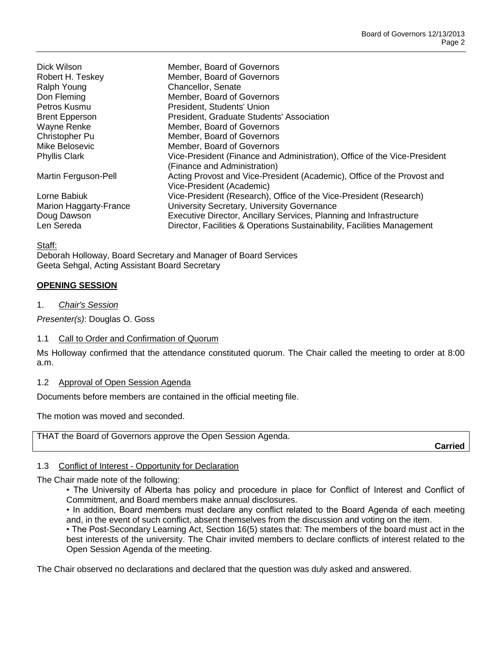| Dick Wilson<br>Robert H. Teskey<br>Ralph Young<br>Don Fleming<br>Petros Kusmu<br><b>Brent Epperson</b><br>Wayne Renke<br>Christopher Pu | Member, Board of Governors<br>Member, Board of Governors<br>Chancellor, Senate<br>Member, Board of Governors<br>President, Students' Union<br>President, Graduate Students' Association<br>Member, Board of Governors<br>Member, Board of Governors |
|-----------------------------------------------------------------------------------------------------------------------------------------|-----------------------------------------------------------------------------------------------------------------------------------------------------------------------------------------------------------------------------------------------------|
| Mike Belosevic                                                                                                                          | Member, Board of Governors                                                                                                                                                                                                                          |
| <b>Phyllis Clark</b>                                                                                                                    | Vice-President (Finance and Administration), Office of the Vice-President<br>(Finance and Administration)                                                                                                                                           |
| Martin Ferguson-Pell                                                                                                                    | Acting Provost and Vice-President (Academic), Office of the Provost and<br>Vice-President (Academic)                                                                                                                                                |
| Lorne Babiuk                                                                                                                            | Vice-President (Research), Office of the Vice-President (Research)                                                                                                                                                                                  |
| Marion Haggarty-France                                                                                                                  | University Secretary, University Governance                                                                                                                                                                                                         |
| Doug Dawson                                                                                                                             | Executive Director, Ancillary Services, Planning and Infrastructure                                                                                                                                                                                 |
| Len Sereda                                                                                                                              | Director, Facilities & Operations Sustainability, Facilities Management                                                                                                                                                                             |

Staff:

Deborah Holloway, Board Secretary and Manager of Board Services Geeta Sehgal, Acting Assistant Board Secretary

### **OPENING SESSION**

1. *Chair's Session*

*Presenter(s)*: Douglas O. Goss

### 1.1 Call to Order and Confirmation of Quorum

Ms Holloway confirmed that the attendance constituted quorum. The Chair called the meeting to order at 8:00 a.m.

#### 1.2 Approval of Open Session Agenda

Documents before members are contained in the official meeting file.

The motion was moved and seconded.

THAT the Board of Governors approve the Open Session Agenda.

**Carried**

### 1.3 Conflict of Interest - Opportunity for Declaration

The Chair made note of the following:

• The University of Alberta has policy and procedure in place for Conflict of Interest and Conflict of Commitment, and Board members make annual disclosures.

• In addition, Board members must declare any conflict related to the Board Agenda of each meeting and, in the event of such conflict, absent themselves from the discussion and voting on the item.

• The Post-Secondary Learning Act, Section 16(5) states that: The members of the board must act in the best interests of the university. The Chair invited members to declare conflicts of interest related to the Open Session Agenda of the meeting.

The Chair observed no declarations and declared that the question was duly asked and answered.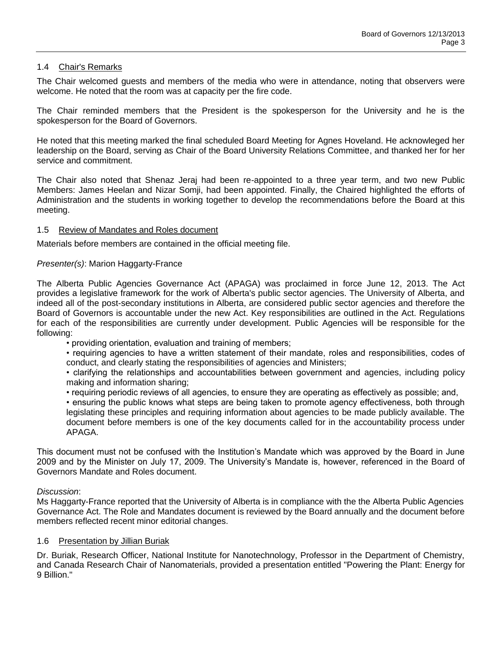### 1.4 Chair's Remarks

The Chair welcomed guests and members of the media who were in attendance, noting that observers were welcome. He noted that the room was at capacity per the fire code.

The Chair reminded members that the President is the spokesperson for the University and he is the spokesperson for the Board of Governors.

He noted that this meeting marked the final scheduled Board Meeting for Agnes Hoveland. He acknowleged her leadership on the Board, serving as Chair of the Board University Relations Committee, and thanked her for her service and commitment.

The Chair also noted that Shenaz Jeraj had been re-appointed to a three year term, and two new Public Members: James Heelan and Nizar Somji, had been appointed. Finally, the Chaired highlighted the efforts of Administration and the students in working together to develop the recommendations before the Board at this meeting.

### 1.5 Review of Mandates and Roles document

Materials before members are contained in the official meeting file.

### *Presenter(s)*: Marion Haggarty-France

The Alberta Public Agencies Governance Act (APAGA) was proclaimed in force June 12, 2013. The Act provides a legislative framework for the work of Alberta's public sector agencies. The University of Alberta, and indeed all of the post-secondary institutions in Alberta, are considered public sector agencies and therefore the Board of Governors is accountable under the new Act. Key responsibilities are outlined in the Act. Regulations for each of the responsibilities are currently under development. Public Agencies will be responsible for the following:

• providing orientation, evaluation and training of members;

• requiring agencies to have a written statement of their mandate, roles and responsibilities, codes of conduct, and clearly stating the responsibilities of agencies and Ministers;

• clarifying the relationships and accountabilities between government and agencies, including policy making and information sharing;

• requiring periodic reviews of all agencies, to ensure they are operating as effectively as possible; and,

• ensuring the public knows what steps are being taken to promote agency effectiveness, both through legislating these principles and requiring information about agencies to be made publicly available. The document before members is one of the key documents called for in the accountability process under APAGA.

This document must not be confused with the Institution's Mandate which was approved by the Board in June 2009 and by the Minister on July 17, 2009. The University's Mandate is, however, referenced in the Board of Governors Mandate and Roles document.

#### *Discussion*:

Ms Haggarty-France reported that the University of Alberta is in compliance with the the Alberta Public Agencies Governance Act. The Role and Mandates document is reviewed by the Board annually and the document before members reflected recent minor editorial changes.

### 1.6 Presentation by Jillian Buriak

Dr. Buriak, Research Officer, National Institute for Nanotechnology, Professor in the Department of Chemistry, and Canada Research Chair of Nanomaterials, provided a presentation entitled "Powering the Plant: Energy for 9 Billion."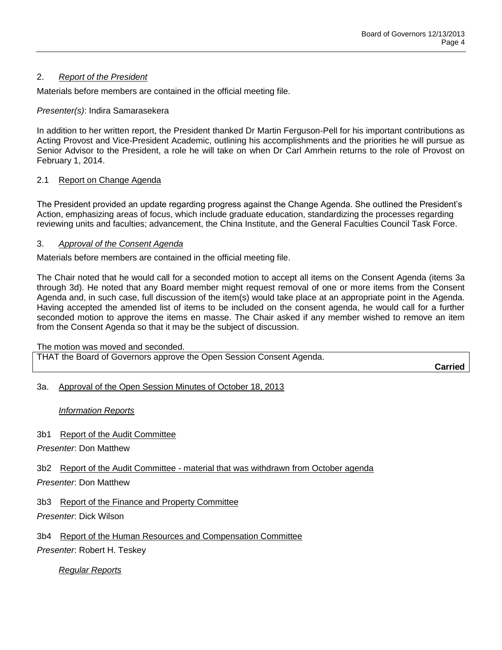## 2. *Report of the President*

Materials before members are contained in the official meeting file.

## *Presenter(s)*: Indira Samarasekera

In addition to her written report, the President thanked Dr Martin Ferguson-Pell for his important contributions as Acting Provost and Vice-President Academic, outlining his accomplishments and the priorities he will pursue as Senior Advisor to the President, a role he will take on when Dr Carl Amrhein returns to the role of Provost on February 1, 2014.

## 2.1 Report on Change Agenda

The President provided an update regarding progress against the Change Agenda. She outlined the President's Action, emphasizing areas of focus, which include graduate education, standardizing the processes regarding reviewing units and faculties; advancement, the China Institute, and the General Faculties Council Task Force.

### 3. *Approval of the Consent Agenda*

Materials before members are contained in the official meeting file.

The Chair noted that he would call for a seconded motion to accept all items on the Consent Agenda (items 3a through 3d). He noted that any Board member might request removal of one or more items from the Consent Agenda and, in such case, full discussion of the item(s) would take place at an appropriate point in the Agenda. Having accepted the amended list of items to be included on the consent agenda, he would call for a further seconded motion to approve the items en masse. The Chair asked if any member wished to remove an item from the Consent Agenda so that it may be the subject of discussion.

The motion was moved and seconded.

THAT the Board of Governors approve the Open Session Consent Agenda.

**Carried**

### 3a. Approval of the Open Session Minutes of October 18, 2013

### *Information Reports*

### 3b1 Report of the Audit Committee

*Presenter*: Don Matthew

### 3b2 Report of the Audit Committee - material that was withdrawn from October agenda

### *Presenter*: Don Matthew

3b3 Report of the Finance and Property Committee

*Presenter*: Dick Wilson

3b4 Report of the Human Resources and Compensation Committee

*Presenter*: Robert H. Teskey

*Regular Reports*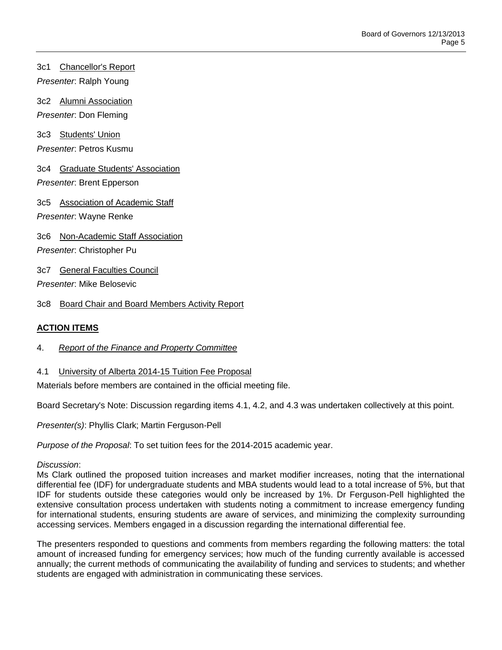3c1 Chancellor's Report *Presenter*: Ralph Young

3c2 Alumni Association *Presenter*: Don Fleming

3c3 Students' Union *Presenter*: Petros Kusmu

3c4 Graduate Students' Association *Presenter*: Brent Epperson

3c5 Association of Academic Staff *Presenter*: Wayne Renke

3c6 Non-Academic Staff Association

*Presenter*: Christopher Pu

3c7 General Faculties Council

*Presenter*: Mike Belosevic

3c8 Board Chair and Board Members Activity Report

## **ACTION ITEMS**

- 4. *Report of the Finance and Property Committee*
- 4.1 University of Alberta 2014-15 Tuition Fee Proposal

Materials before members are contained in the official meeting file.

Board Secretary's Note: Discussion regarding items 4.1, 4.2, and 4.3 was undertaken collectively at this point.

*Presenter(s)*: Phyllis Clark; Martin Ferguson-Pell

*Purpose of the Proposal*: To set tuition fees for the 2014-2015 academic year.

### *Discussion*:

Ms Clark outlined the proposed tuition increases and market modifier increases, noting that the international differential fee (IDF) for undergraduate students and MBA students would lead to a total increase of 5%, but that IDF for students outside these categories would only be increased by 1%. Dr Ferguson-Pell highlighted the extensive consultation process undertaken with students noting a commitment to increase emergency funding for international students, ensuring students are aware of services, and minimizing the complexity surrounding accessing services. Members engaged in a discussion regarding the international differential fee.

The presenters responded to questions and comments from members regarding the following matters: the total amount of increased funding for emergency services; how much of the funding currently available is accessed annually; the current methods of communicating the availability of funding and services to students; and whether students are engaged with administration in communicating these services.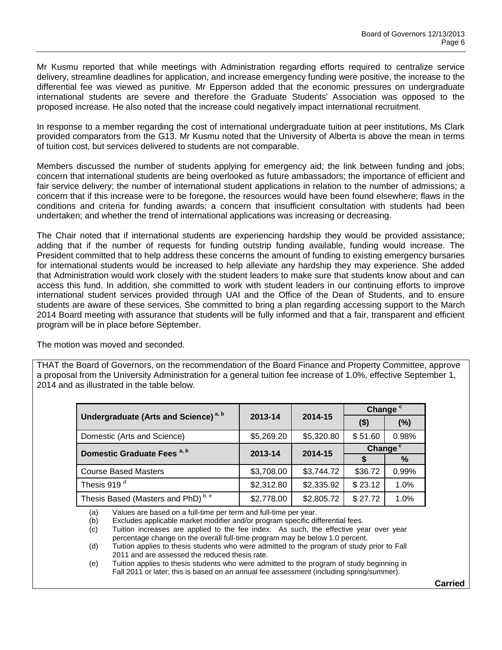Mr Kusmu reported that while meetings with Administration regarding efforts required to centralize service delivery, streamline deadlines for application, and increase emergency funding were positive, the increase to the differential fee was viewed as punitive. Mr Epperson added that the economic pressures on undergraduate international students are severe and therefore the Graduate Students' Association was opposed to the proposed increase. He also noted that the increase could negatively impact international recruitment.

In response to a member regarding the cost of international undergraduate tuition at peer institutions, Ms Clark provided comparators from the G13. Mr Kusmu noted that the University of Alberta is above the mean in terms of tuition cost, but services delivered to students are not comparable.

Members discussed the number of students applying for emergency aid; the link between funding and jobs; concern that international students are being overlooked as future ambassadors; the importance of efficient and fair service delivery; the number of international student applications in relation to the number of admissions; a concern that if this increase were to be foregone, the resources would have been found elsewhere; flaws in the conditions and criteria for funding awards; a concern that insufficient consultation with students had been undertaken; and whether the trend of international applications was increasing or decreasing.

The Chair noted that if international students are experiencing hardship they would be provided assistance; adding that if the number of requests for funding outstrip funding available, funding would increase. The President committed that to help address these concerns the amount of funding to existing emergency bursaries for international students would be increased to help alleviate any hardship they may experience. She added that Administration would work closely with the student leaders to make sure that students know about and can access this fund. In addition, she committed to work with student leaders in our continuing efforts to improve international student services provided through UAI and the Office of the Dean of Students, and to ensure students are aware of these services. She committed to bring a plan regarding accessing support to the March 2014 Board meeting with assurance that students will be fully informed and that a fair, transparent and efficient program will be in place before September.

The motion was moved and seconded.

THAT the Board of Governors, on the recommendation of the Board Finance and Property Committee, approve a proposal from the University Administration for a general tuition fee increase of 1.0%, effective September 1, 2014 and as illustrated in the table below.

|                                                  |            |            | Change <sup>c</sup> |       |
|--------------------------------------------------|------------|------------|---------------------|-------|
| Undergraduate (Arts and Science) <sup>a, b</sup> | 2013-14    | 2014-15    | $($ \$)             | (%)   |
| Domestic (Arts and Science)                      | \$5,269.20 | \$5,320.80 | \$51.60             | 0.98% |
| Domestic Graduate Fees <sup>a, b</sup>           | 2013-14    | 2014-15    | Change <sup>c</sup> |       |
|                                                  |            |            |                     | %     |
| <b>Course Based Masters</b>                      | \$3,708.00 | \$3,744.72 | \$36.72             | 0.99% |
| Thesis 919 <sup>d</sup>                          | \$2,312.80 | \$2,335.92 | \$23.12             | 1.0%  |
| Thesis Based (Masters and PhD) <sup>b, e</sup>   | \$2,778.00 | \$2,805.72 | \$27.72             | 1.0%  |

(a) Values are based on a full-time per term and full-time per year.<br>(b) Excludes applicable market modifier and/or program specific dif Excludes applicable market modifier and/or program specific differential fees.

(c) Tuition increases are applied to the fee index. As such, the effective year over year percentage change on the overall full-time program may be below 1.0 percent.

(d) Tuition applies to thesis students who were admitted to the program of study prior to Fall 2011 and are assessed the reduced thesis rate.

(e) Tuition applies to thesis students who were admitted to the program of study beginning in Fall 2011 or later; this is based on an annual fee assessment (including spring/summer).

**Carried**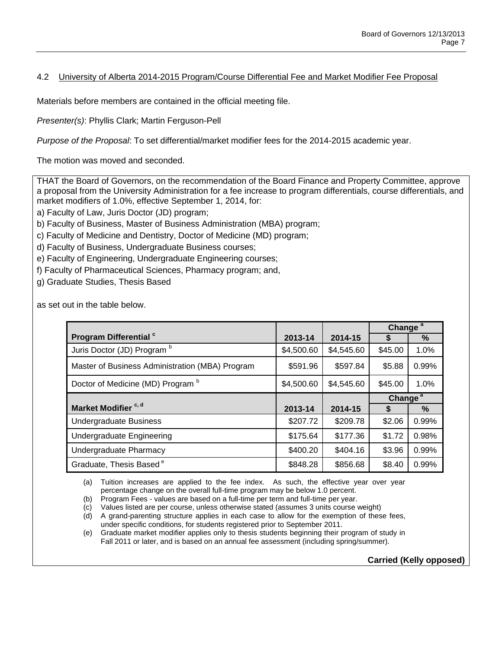## 4.2 University of Alberta 2014-2015 Program/Course Differential Fee and Market Modifier Fee Proposal

Materials before members are contained in the official meeting file.

*Presenter(s)*: Phyllis Clark; Martin Ferguson-Pell

*Purpose of the Proposal*: To set differential/market modifier fees for the 2014-2015 academic year.

The motion was moved and seconded.

THAT the Board of Governors, on the recommendation of the Board Finance and Property Committee, approve a proposal from the University Administration for a fee increase to program differentials, course differentials, and market modifiers of 1.0%, effective September 1, 2014, for:

a) Faculty of Law, Juris Doctor (JD) program;

- b) Faculty of Business, Master of Business Administration (MBA) program;
- c) Faculty of Medicine and Dentistry, Doctor of Medicine (MD) program;
- d) Faculty of Business, Undergraduate Business courses;
- e) Faculty of Engineering, Undergraduate Engineering courses;
- f) Faculty of Pharmaceutical Sciences, Pharmacy program; and,
- g) Graduate Studies, Thesis Based

as set out in the table below.

|                                                 |            |            | Change <sup>a</sup> |       |
|-------------------------------------------------|------------|------------|---------------------|-------|
| Program Differential c                          | 2013-14    | 2014-15    | S                   | %     |
| Juris Doctor (JD) Program b                     | \$4,500.60 | \$4,545.60 | \$45.00             | 1.0%  |
| Master of Business Administration (MBA) Program | \$591.96   | \$597.84   | \$5.88              | 0.99% |
| Doctor of Medicine (MD) Program b               | \$4,500.60 | \$4,545.60 | \$45.00             | 1.0%  |
|                                                 |            |            | Change <sup>a</sup> |       |
| Market Modifier <sup>c, d</sup>                 | 2013-14    | 2014-15    | S                   | %     |
| <b>Undergraduate Business</b>                   | \$207.72   | \$209.78   | \$2.06              | 0.99% |
| Undergraduate Engineering                       | \$175.64   | \$177.36   | \$1.72              | 0.98% |
| Undergraduate Pharmacy                          | \$400.20   | \$404.16   | \$3.96              | 0.99% |
| Graduate, Thesis Based <sup>e</sup>             | \$848.28   | \$856.68   | \$8.40              | 0.99% |

(a) Tuition increases are applied to the fee index. As such, the effective year over year percentage change on the overall full-time program may be below 1.0 percent.

(b) Program Fees - values are based on a full-time per term and full-time per year.

(c) Values listed are per course, unless otherwise stated (assumes 3 units course weight)

(d) A grand-parenting structure applies in each case to allow for the exemption of these fees, under specific conditions, for students registered prior to September 2011.

(e) Graduate market modifier applies only to thesis students beginning their program of study in Fall 2011 or later, and is based on an annual fee assessment (including spring/summer).

**Carried (Kelly opposed)**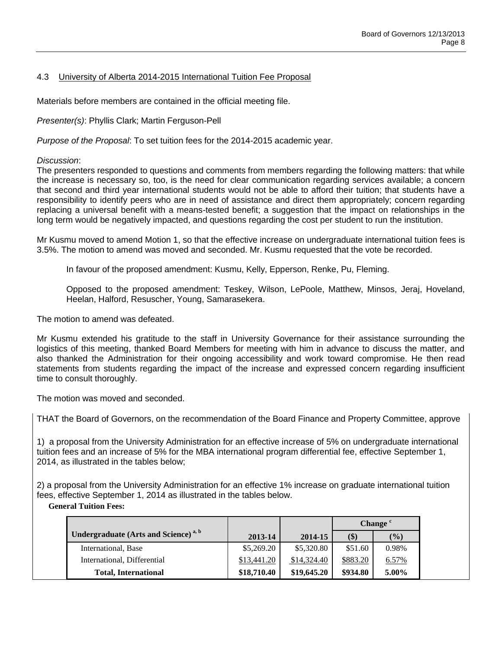## 4.3 University of Alberta 2014-2015 International Tuition Fee Proposal

Materials before members are contained in the official meeting file.

*Presenter(s)*: Phyllis Clark; Martin Ferguson-Pell

*Purpose of the Proposal*: To set tuition fees for the 2014-2015 academic year.

### *Discussion*:

The presenters responded to questions and comments from members regarding the following matters: that while the increase is necessary so, too, is the need for clear communication regarding services available; a concern that second and third year international students would not be able to afford their tuition; that students have a responsibility to identify peers who are in need of assistance and direct them appropriately; concern regarding replacing a universal benefit with a means-tested benefit; a suggestion that the impact on relationships in the long term would be negatively impacted, and questions regarding the cost per student to run the institution.

Mr Kusmu moved to amend Motion 1, so that the effective increase on undergraduate international tuition fees is 3.5%. The motion to amend was moved and seconded. Mr. Kusmu requested that the vote be recorded.

In favour of the proposed amendment: Kusmu, Kelly, Epperson, Renke, Pu, Fleming.

Opposed to the proposed amendment: Teskey, Wilson, LePoole, Matthew, Minsos, Jeraj, Hoveland, Heelan, Halford, Resuscher, Young, Samarasekera.

The motion to amend was defeated.

Mr Kusmu extended his gratitude to the staff in University Governance for their assistance surrounding the logistics of this meeting, thanked Board Members for meeting with him in advance to discuss the matter, and also thanked the Administration for their ongoing accessibility and work toward compromise. He then read statements from students regarding the impact of the increase and expressed concern regarding insufficient time to consult thoroughly.

The motion was moved and seconded.

THAT the Board of Governors, on the recommendation of the Board Finance and Property Committee, approve

1) a proposal from the University Administration for an effective increase of 5% on undergraduate international tuition fees and an increase of 5% for the MBA international program differential fee, effective September 1, 2014, as illustrated in the tables below;

2) a proposal from the University Administration for an effective 1% increase on graduate international tuition fees, effective September 1, 2014 as illustrated in the tables below.

## **General Tuition Fees:**

|                                                         |             |             | Change <sup>c</sup> |               |
|---------------------------------------------------------|-------------|-------------|---------------------|---------------|
| <b>Undergraduate (Arts and Science)</b> <sup>a, b</sup> | 2013-14     | 2014-15     | \$)                 | $\frac{6}{2}$ |
| International, Base                                     | \$5,269.20  | \$5,320.80  | \$51.60             | 0.98%         |
| International, Differential                             | \$13,441.20 | \$14,324.40 | \$883.20            | 6.57%         |
| <b>Total, International</b>                             | \$18,710.40 | \$19,645.20 | \$934.80            | 5.00%         |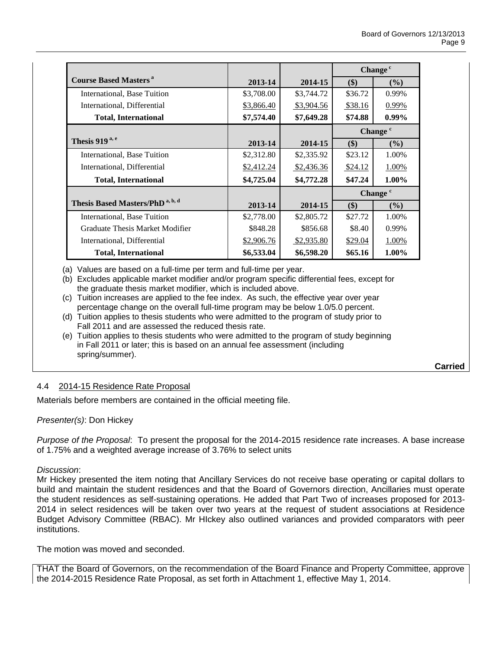|                                             |            |            | Change <sup>c</sup>    |          |
|---------------------------------------------|------------|------------|------------------------|----------|
| <b>Course Based Masters</b> <sup>a</sup>    | 2013-14    | 2014-15    | \$)                    | $($ %)   |
| International, Base Tuition                 | \$3,708.00 | \$3,744.72 | \$36.72                | 0.99%    |
| International, Differential                 | \$3,866.40 | \$3,904.56 | \$38.16                | 0.99%    |
| <b>Total, International</b>                 | \$7,574.40 | \$7,649.28 | \$74.88                | $0.99\%$ |
|                                             |            |            | Change <sup>c</sup>    |          |
| Thesis 919 <sup>a, e</sup>                  | 2013-14    | 2014-15    | \$)                    | $($ %)   |
| International, Base Tuition                 | \$2,312.80 | \$2,335.92 | \$23.12                | 1.00%    |
| International, Differential                 | \$2,412.24 | \$2,436.36 | \$24.12                | 1.00%    |
| <b>Total, International</b>                 | \$4,725.04 | \$4,772.28 | \$47.24                | $1.00\%$ |
|                                             |            |            | Change <sup>c</sup>    |          |
| Thesis Based Masters/PhD <sup>a, b, d</sup> | 2013-14    | 2014-15    | $($)$<br>$\frac{9}{6}$ |          |
| International, Base Tuition                 | \$2,778.00 | \$2,805.72 | \$27.72                | 1.00%    |
| Graduate Thesis Market Modifier             | \$848.28   | \$856.68   | \$8.40                 | 0.99%    |
| International, Differential                 | \$2,906.76 | \$2,935.80 | \$29.04                | 1.00%    |
| <b>Total, International</b>                 | \$6,533.04 | \$6,598.20 | \$65.16                | $1.00\%$ |

(a) Values are based on a full-time per term and full-time per year.

- (b) Excludes applicable market modifier and/or program specific differential fees, except for the graduate thesis market modifier, which is included above.
- (c) Tuition increases are applied to the fee index. As such, the effective year over year percentage change on the overall full-time program may be below 1.0/5.0 percent.
- (d) Tuition applies to thesis students who were admitted to the program of study prior to Fall 2011 and are assessed the reduced thesis rate.
- (e) Tuition applies to thesis students who were admitted to the program of study beginning in Fall 2011 or later; this is based on an annual fee assessment (including spring/summer).

**Carried**

## 4.4 2014-15 Residence Rate Proposal

Materials before members are contained in the official meeting file.

### *Presenter(s)*: Don Hickey

*Purpose of the Proposal*: To present the proposal for the 2014-2015 residence rate increases. A base increase of 1.75% and a weighted average increase of 3.76% to select units

### *Discussion*:

Mr Hickey presented the item noting that Ancillary Services do not receive base operating or capital dollars to build and maintain the student residences and that the Board of Governors direction, Ancillaries must operate the student residences as self-sustaining operations. He added that Part Two of increases proposed for 2013- 2014 in select residences will be taken over two years at the request of student associations at Residence Budget Advisory Committee (RBAC). Mr HIckey also outlined variances and provided comparators with peer institutions.

The motion was moved and seconded.

THAT the Board of Governors, on the recommendation of the Board Finance and Property Committee, approve the 2014-2015 Residence Rate Proposal, as set forth in Attachment 1, effective May 1, 2014.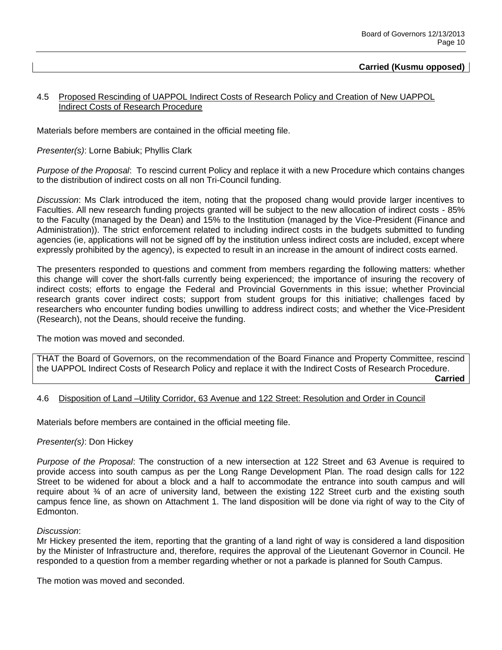### **Carried (Kusmu opposed)**

### 4.5 Proposed Rescinding of UAPPOL Indirect Costs of Research Policy and Creation of New UAPPOL Indirect Costs of Research Procedure

Materials before members are contained in the official meeting file.

*Presenter(s)*: Lorne Babiuk; Phyllis Clark

*Purpose of the Proposal*: To rescind current Policy and replace it with a new Procedure which contains changes to the distribution of indirect costs on all non Tri-Council funding.

*Discussion*: Ms Clark introduced the item, noting that the proposed chang would provide larger incentives to Faculties. All new research funding projects granted will be subject to the new allocation of indirect costs - 85% to the Faculty (managed by the Dean) and 15% to the Institution (managed by the Vice-President (Finance and Administration)). The strict enforcement related to including indirect costs in the budgets submitted to funding agencies (ie, applications will not be signed off by the institution unless indirect costs are included, except where expressly prohibited by the agency), is expected to result in an increase in the amount of indirect costs earned.

The presenters responded to questions and comment from members regarding the following matters: whether this change will cover the short-falls currently being experienced; the importance of insuring the recovery of indirect costs; efforts to engage the Federal and Provincial Governments in this issue; whether Provincial research grants cover indirect costs; support from student groups for this initiative; challenges faced by researchers who encounter funding bodies unwilling to address indirect costs; and whether the Vice-President (Research), not the Deans, should receive the funding.

The motion was moved and seconded.

THAT the Board of Governors, on the recommendation of the Board Finance and Property Committee, rescind the UAPPOL Indirect Costs of Research Policy and replace it with the Indirect Costs of Research Procedure.

**Carried**

#### 4.6 Disposition of Land –Utility Corridor, 63 Avenue and 122 Street: Resolution and Order in Council

Materials before members are contained in the official meeting file.

#### *Presenter(s)*: Don Hickey

*Purpose of the Proposal*: The construction of a new intersection at 122 Street and 63 Avenue is required to provide access into south campus as per the Long Range Development Plan. The road design calls for 122 Street to be widened for about a block and a half to accommodate the entrance into south campus and will require about ¾ of an acre of university land, between the existing 122 Street curb and the existing south campus fence line, as shown on Attachment 1. The land disposition will be done via right of way to the City of Edmonton.

#### *Discussion*:

Mr Hickey presented the item, reporting that the granting of a land right of way is considered a land disposition by the Minister of Infrastructure and, therefore, requires the approval of the Lieutenant Governor in Council. He responded to a question from a member regarding whether or not a parkade is planned for South Campus.

The motion was moved and seconded.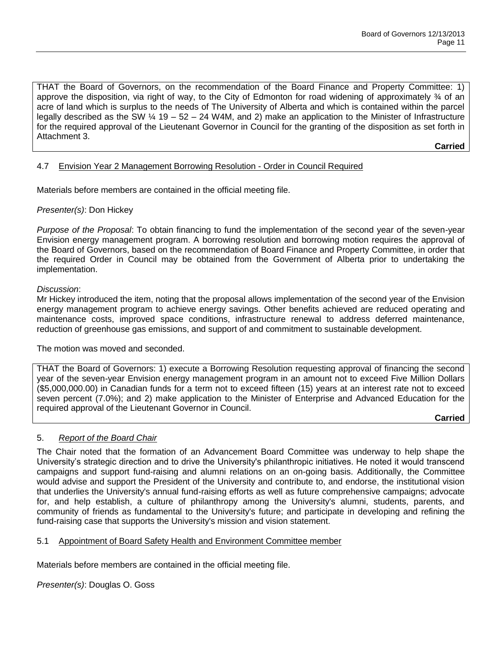THAT the Board of Governors, on the recommendation of the Board Finance and Property Committee: 1) approve the disposition, via right of way, to the City of Edmonton for road widening of approximately ¾ of an acre of land which is surplus to the needs of The University of Alberta and which is contained within the parcel legally described as the SW ¼ 19 – 52 – 24 W4M, and 2) make an application to the Minister of Infrastructure for the required approval of the Lieutenant Governor in Council for the granting of the disposition as set forth in Attachment 3.

**Carried**

## 4.7 Envision Year 2 Management Borrowing Resolution - Order in Council Required

Materials before members are contained in the official meeting file.

*Presenter(s)*: Don Hickey

*Purpose of the Proposal*: To obtain financing to fund the implementation of the second year of the seven-year Envision energy management program. A borrowing resolution and borrowing motion requires the approval of the Board of Governors, based on the recommendation of Board Finance and Property Committee, in order that the required Order in Council may be obtained from the Government of Alberta prior to undertaking the implementation.

### *Discussion*:

Mr Hickey introduced the item, noting that the proposal allows implementation of the second year of the Envision energy management program to achieve energy savings. Other benefits achieved are reduced operating and maintenance costs, improved space conditions, infrastructure renewal to address deferred maintenance, reduction of greenhouse gas emissions, and support of and commitment to sustainable development.

The motion was moved and seconded.

THAT the Board of Governors: 1) execute a Borrowing Resolution requesting approval of financing the second year of the seven-year Envision energy management program in an amount not to exceed Five Million Dollars (\$5,000,000.00) in Canadian funds for a term not to exceed fifteen (15) years at an interest rate not to exceed seven percent (7.0%); and 2) make application to the Minister of Enterprise and Advanced Education for the required approval of the Lieutenant Governor in Council.

**Carried**

### 5. *Report of the Board Chair*

The Chair noted that the formation of an Advancement Board Committee was underway to help shape the University's strategic direction and to drive the University's philanthropic initiatives. He noted it would transcend campaigns and support fund-raising and alumni relations on an on-going basis. Additionally, the Committee would advise and support the President of the University and contribute to, and endorse, the institutional vision that underlies the University's annual fund-raising efforts as well as future comprehensive campaigns; advocate for, and help establish, a culture of philanthropy among the University's alumni, students, parents, and community of friends as fundamental to the University's future; and participate in developing and refining the fund-raising case that supports the University's mission and vision statement.

### 5.1 Appointment of Board Safety Health and Environment Committee member

Materials before members are contained in the official meeting file.

*Presenter(s)*: Douglas O. Goss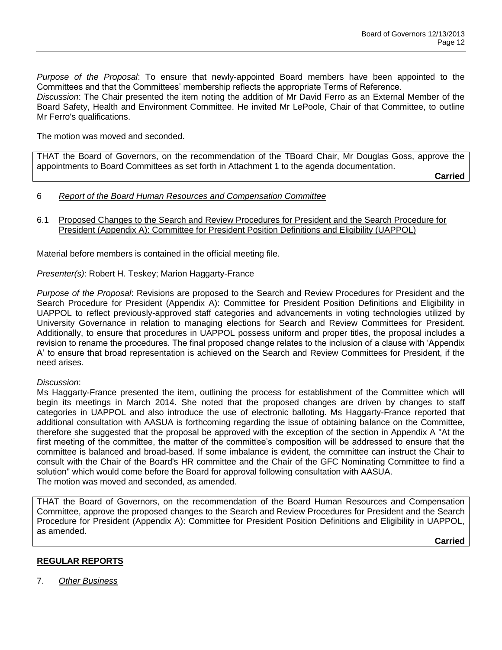*Purpose of the Proposal*: To ensure that newly-appointed Board members have been appointed to the Committees and that the Committees' membership reflects the appropriate Terms of Reference. *Discussion*: The Chair presented the item noting the addition of Mr David Ferro as an External Member of the Board Safety, Health and Environment Committee. He invited Mr LePoole, Chair of that Committee, to outline Mr Ferro's qualifications.

The motion was moved and seconded.

THAT the Board of Governors, on the recommendation of the TBoard Chair, Mr Douglas Goss, approve the appointments to Board Committees as set forth in Attachment 1 to the agenda documentation.

**Carried**

- 6 *Report of the Board Human Resources and Compensation Committee*
- 6.1 Proposed Changes to the Search and Review Procedures for President and the Search Procedure for President (Appendix A): Committee for President Position Definitions and Eligibility (UAPPOL)

Material before members is contained in the official meeting file.

*Presenter(s)*: Robert H. Teskey; Marion Haggarty-France

*Purpose of the Proposal*: Revisions are proposed to the Search and Review Procedures for President and the Search Procedure for President (Appendix A): Committee for President Position Definitions and Eligibility in UAPPOL to reflect previously-approved staff categories and advancements in voting technologies utilized by University Governance in relation to managing elections for Search and Review Committees for President. Additionally, to ensure that procedures in UAPPOL possess uniform and proper titles, the proposal includes a revision to rename the procedures. The final proposed change relates to the inclusion of a clause with 'Appendix A' to ensure that broad representation is achieved on the Search and Review Committees for President, if the need arises.

### *Discussion*:

Ms Haggarty-France presented the item, outlining the process for establishment of the Committee which will begin its meetings in March 2014. She noted that the proposed changes are driven by changes to staff categories in UAPPOL and also introduce the use of electronic balloting. Ms Haggarty-France reported that additional consultation with AASUA is forthcoming regarding the issue of obtaining balance on the Committee, therefore she suggested that the proposal be approved with the exception of the section in Appendix A "At the first meeting of the committee, the matter of the committee's composition will be addressed to ensure that the committee is balanced and broad-based. If some imbalance is evident, the committee can instruct the Chair to consult with the Chair of the Board's HR committee and the Chair of the GFC Nominating Committee to find a solution" which would come before the Board for approval following consultation with AASUA. The motion was moved and seconded, as amended.

THAT the Board of Governors, on the recommendation of the Board Human Resources and Compensation Committee, approve the proposed changes to the Search and Review Procedures for President and the Search Procedure for President (Appendix A): Committee for President Position Definitions and Eligibility in UAPPOL, as amended.

**Carried**

## **REGULAR REPORTS**

7. *Other Business*